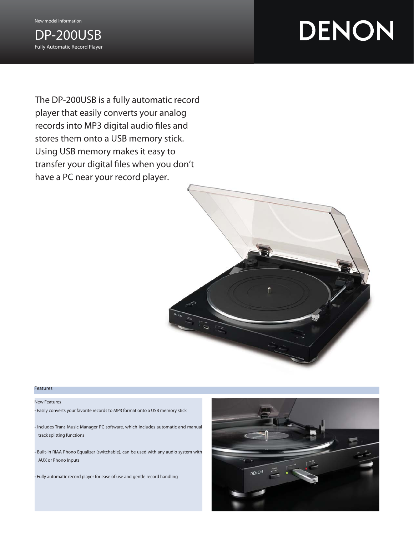#### New model information



# DENON

The DP-200USB is a fully automatic record player that easily converts your analog records into MP3 digital audio files and stores them onto a USB memory stick. Using USB memory makes it easy to transfer your digital files when you don't have a PC near your record player.



#### Features

#### New Features

- Easily converts your favorite records to MP3 format onto a USB memory stick
- Includes Trans Music Manager PC software, which includes automatic and manual track splitting functions
- Built-in RIAA Phono Equalizer (switchable), can be used with any audio system with AUX or Phono Inputs
- Fully automatic record player for ease of use and gentle record handling